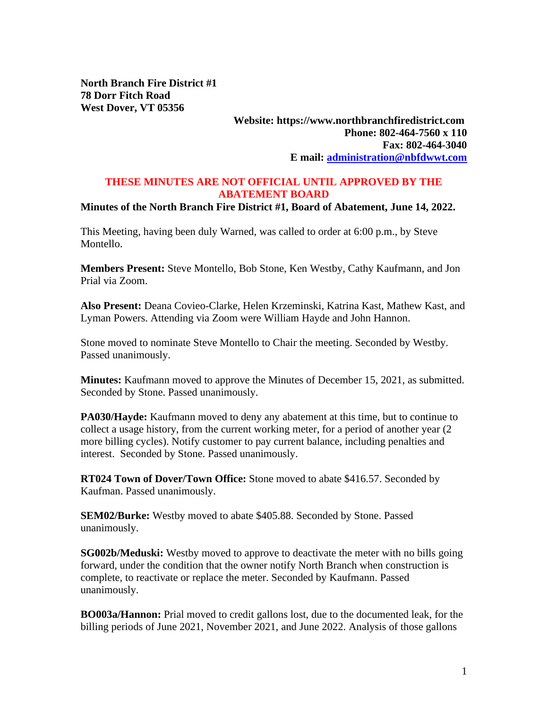**North Branch Fire District #1 78 Dorr Fitch Road West Dover, VT 05356**

## **Website: https://www.northbranchfiredistrict.com Phone: 802-464-7560 x 110 Fax: 802-464-3040 E mail: [administration@nbfdwwt.com](mailto:administration@nbfdwwt.com)**

## **THESE MINUTES ARE NOT OFFICIAL UNTIL APPROVED BY THE ABATEMENT BOARD**

## **Minutes of the North Branch Fire District #1, Board of Abatement, June 14, 2022.**

This Meeting, having been duly Warned, was called to order at 6:00 p.m., by Steve Montello.

**Members Present:** Steve Montello, Bob Stone, Ken Westby, Cathy Kaufmann, and Jon Prial via Zoom.

**Also Present:** Deana Covieo-Clarke, Helen Krzeminski, Katrina Kast, Mathew Kast, and Lyman Powers. Attending via Zoom were William Hayde and John Hannon.

Stone moved to nominate Steve Montello to Chair the meeting. Seconded by Westby. Passed unanimously.

**Minutes:** Kaufmann moved to approve the Minutes of December 15, 2021, as submitted. Seconded by Stone. Passed unanimously.

**PA030/Hayde:** Kaufmann moved to deny any abatement at this time, but to continue to collect a usage history, from the current working meter, for a period of another year (2 more billing cycles). Notify customer to pay current balance, including penalties and interest. Seconded by Stone. Passed unanimously.

**RT024 Town of Dover/Town Office:** Stone moved to abate \$416.57. Seconded by Kaufman. Passed unanimously.

**SEM02/Burke:** Westby moved to abate \$405.88. Seconded by Stone. Passed unanimously.

**SG002b/Meduski:** Westby moved to approve to deactivate the meter with no bills going forward, under the condition that the owner notify North Branch when construction is complete, to reactivate or replace the meter. Seconded by Kaufmann. Passed unanimously.

**BO003a/Hannon:** Prial moved to credit gallons lost, due to the documented leak, for the billing periods of June 2021, November 2021, and June 2022. Analysis of those gallons